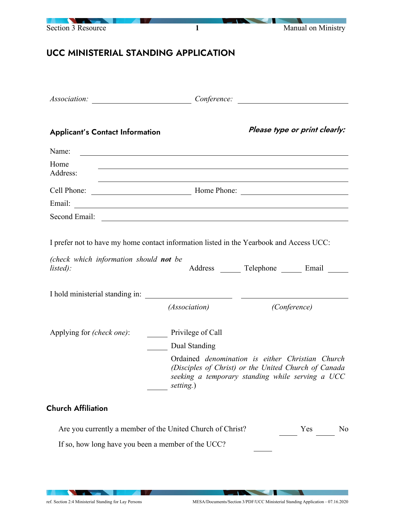| <b>Section 3 Resource</b>                                                                                                                            | $\mathbf{1}$                                                        |                                                                                                                                                                     | Manual on Ministry |
|------------------------------------------------------------------------------------------------------------------------------------------------------|---------------------------------------------------------------------|---------------------------------------------------------------------------------------------------------------------------------------------------------------------|--------------------|
| UCC MINISTERIAL STANDING APPLICATION                                                                                                                 |                                                                     |                                                                                                                                                                     |                    |
|                                                                                                                                                      |                                                                     | $Conference:$                                                                                                                                                       |                    |
| <b>Applicant's Contact Information</b>                                                                                                               |                                                                     | Please type or print clearly:                                                                                                                                       |                    |
| Name:                                                                                                                                                | <u> 1989 - Andrea Station Barbara, amerikan personal (h. 1989).</u> |                                                                                                                                                                     |                    |
| Home<br>Address:                                                                                                                                     |                                                                     |                                                                                                                                                                     |                    |
|                                                                                                                                                      |                                                                     |                                                                                                                                                                     |                    |
| Email:<br><u> Alexandria de la contrada de la contrada de la contrada de la contrada de la contrada de la contrada de la c</u>                       |                                                                     |                                                                                                                                                                     |                    |
| Second Email:                                                                                                                                        |                                                                     |                                                                                                                                                                     |                    |
| I prefer not to have my home contact information listed in the Yearbook and Access UCC:<br>(check which information should <b>not</b> be<br>listed): |                                                                     | Address _______ Telephone _______ Email _____                                                                                                                       |                    |
| I hold ministerial standing in:                                                                                                                      | <u> 1980 - Jan Barbara Barbara, prima posta</u>                     | <u> Listen van die Stad van die Stad van die Stad van die Stad van die Stad van die Stad van die Stad van die Stad va</u>                                           |                    |
|                                                                                                                                                      | (Association)                                                       | (Conference)                                                                                                                                                        |                    |
| Applying for <i>(check one)</i> :                                                                                                                    | Privilege of Call<br>Dual Standing                                  |                                                                                                                                                                     |                    |
|                                                                                                                                                      | setting.)                                                           | Ordained <i>denomination</i> is either Christian Church<br>(Disciples of Christ) or the United Church of Canada<br>seeking a temporary standing while serving a UCC |                    |
| <b>Church Affiliation</b>                                                                                                                            |                                                                     |                                                                                                                                                                     |                    |
| Are you currently a member of the United Church of Christ?                                                                                           |                                                                     | Yes                                                                                                                                                                 | No                 |

If so, how long have you been a member of the UCC?

**NATIONAL PROPERTY** 

**The Common Seconds**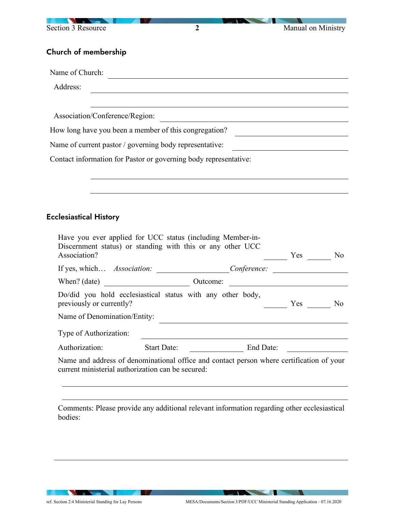| Section 3 Resource                                                                                                                                                        | $\boldsymbol{2}$   |                                                                                                                      | Manual on Ministry                                                                                                   |
|---------------------------------------------------------------------------------------------------------------------------------------------------------------------------|--------------------|----------------------------------------------------------------------------------------------------------------------|----------------------------------------------------------------------------------------------------------------------|
| Church of membership                                                                                                                                                      |                    |                                                                                                                      |                                                                                                                      |
| Name of Church:                                                                                                                                                           |                    |                                                                                                                      |                                                                                                                      |
| Address:                                                                                                                                                                  |                    |                                                                                                                      |                                                                                                                      |
| Association/Conference/Region:                                                                                                                                            |                    |                                                                                                                      |                                                                                                                      |
| How long have you been a member of this congregation?                                                                                                                     |                    | <u> 1980 - Johann Barn, mars ann an t-Amhain Aonaich an t-Aonaich an t-Aonaich ann an t-Aonaich ann an t-Aonaich</u> |                                                                                                                      |
| Name of current pastor / governing body representative:                                                                                                                   |                    |                                                                                                                      |                                                                                                                      |
| Contact information for Pastor or governing body representative:                                                                                                          |                    |                                                                                                                      | <u> 1989 - Johann Barn, mars ann an t-Amhain Aonaich an t-Aonaich an t-Aonaich ann an t-Aonaich ann an t-Aonaich</u> |
|                                                                                                                                                                           |                    |                                                                                                                      |                                                                                                                      |
|                                                                                                                                                                           |                    |                                                                                                                      |                                                                                                                      |
| <b>Ecclesiastical History</b><br>Have you ever applied for UCC status (including Member-in-<br>Discernment status) or standing with this or any other UCC<br>Association? |                    |                                                                                                                      | $Yes \_\_ No$                                                                                                        |
| If yes, which Association: ____________________Conference: __________________                                                                                             |                    |                                                                                                                      |                                                                                                                      |
|                                                                                                                                                                           |                    |                                                                                                                      |                                                                                                                      |
| Do/did you hold ecclesiastical status with any other body,<br>previously or currently?                                                                                    |                    |                                                                                                                      | $Yes \_$<br>N <sub>o</sub>                                                                                           |
| Name of Denomination/Entity:                                                                                                                                              |                    |                                                                                                                      |                                                                                                                      |
| Type of Authorization:                                                                                                                                                    |                    |                                                                                                                      |                                                                                                                      |
| Authorization:                                                                                                                                                            | <b>Start Date:</b> | End Date:                                                                                                            |                                                                                                                      |
| Name and address of denominational office and contact person where certification of your<br>current ministerial authorization can be secured:                             |                    |                                                                                                                      |                                                                                                                      |
|                                                                                                                                                                           |                    |                                                                                                                      |                                                                                                                      |

Comments: Please provide any additional relevant information regarding other ecclesiastical bodies:

**IN A**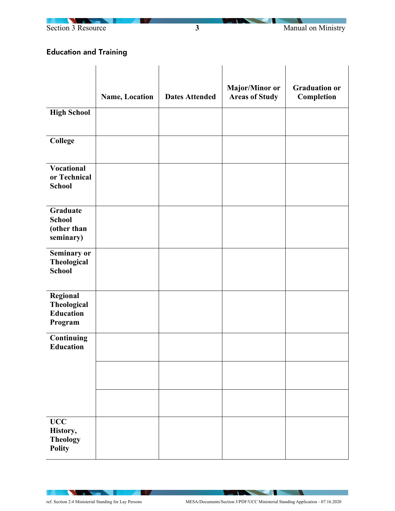



## Education and Training

|                                                               |                |                       | Major/Minor or        | <b>Graduation or</b> |
|---------------------------------------------------------------|----------------|-----------------------|-----------------------|----------------------|
|                                                               | Name, Location | <b>Dates Attended</b> | <b>Areas of Study</b> | Completion           |
| <b>High School</b>                                            |                |                       |                       |                      |
| <b>College</b>                                                |                |                       |                       |                      |
| <b>Vocational</b><br>or Technical<br><b>School</b>            |                |                       |                       |                      |
| <b>Graduate</b><br><b>School</b><br>(other than<br>seminary)  |                |                       |                       |                      |
| Seminary or<br>Theological<br><b>School</b>                   |                |                       |                       |                      |
| Regional<br><b>Theological</b><br><b>Education</b><br>Program |                |                       |                       |                      |
| <b>Continuing</b><br><b>Education</b>                         |                |                       |                       |                      |
|                                                               |                |                       |                       |                      |
|                                                               |                |                       |                       |                      |
| $\bf UCC$<br>History,<br><b>Theology</b><br><b>Polity</b>     |                |                       |                       |                      |

**IV**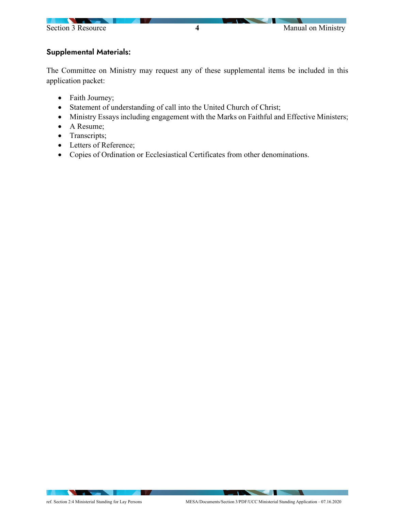

## Supplemental Materials:

The Committee on Ministry may request any of these supplemental items be included in this application packet:

- Faith Journey;
- Statement of understanding of call into the United Church of Christ;
- Ministry Essays including engagement with the Marks on Faithful and Effective Ministers;
- A Resume;
- Transcripts;
- Letters of Reference;
- Copies of Ordination or Ecclesiastical Certificates from other denominations.

**The Contract of the Contract of the Contract of the Contract of the Contract of the Contract of the Contract of The Contract of The Contract of The Contract of The Contract of The Contract of The Contract of The Contract**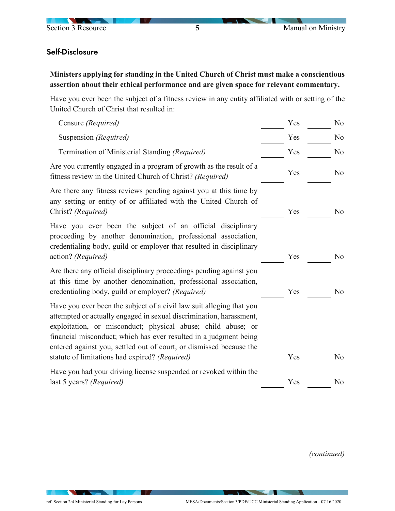

## Self-Disclosure

**Ministers applying for standing in the United Church of Christ must make a conscientious assertion about their ethical performance and are given space for relevant commentary.** 

Have you ever been the subject of a fitness review in any entity affiliated with or setting of the United Church of Christ that resulted in:

| Censure (Required)                                                                                                                                                                                                                                                                                                                                                                                        | Yes | N <sub>o</sub> |
|-----------------------------------------------------------------------------------------------------------------------------------------------------------------------------------------------------------------------------------------------------------------------------------------------------------------------------------------------------------------------------------------------------------|-----|----------------|
| Suspension (Required)                                                                                                                                                                                                                                                                                                                                                                                     | Yes | N <sub>o</sub> |
| Termination of Ministerial Standing (Required)                                                                                                                                                                                                                                                                                                                                                            | Yes | N <sub>o</sub> |
| Are you currently engaged in a program of growth as the result of a<br>fitness review in the United Church of Christ? (Required)                                                                                                                                                                                                                                                                          | Yes | N <sub>o</sub> |
| Are there any fitness reviews pending against you at this time by<br>any setting or entity of or affiliated with the United Church of<br>Christ? (Required)                                                                                                                                                                                                                                               | Yes | N <sub>o</sub> |
| Have you ever been the subject of an official disciplinary<br>proceeding by another denomination, professional association,<br>credentialing body, guild or employer that resulted in disciplinary<br>action? (Required)                                                                                                                                                                                  | Yes | N <sub>o</sub> |
| Are there any official disciplinary proceedings pending against you<br>at this time by another denomination, professional association,<br>credentialing body, guild or employer? (Required)                                                                                                                                                                                                               | Yes | N <sub>o</sub> |
| Have you ever been the subject of a civil law suit alleging that you<br>attempted or actually engaged in sexual discrimination, harassment,<br>exploitation, or misconduct; physical abuse; child abuse; or<br>financial misconduct; which has ever resulted in a judgment being<br>entered against you, settled out of court, or dismissed because the<br>statute of limitations had expired? (Required) | Yes | No             |
| Have you had your driving license suspended or revoked within the<br>last 5 years? (Required)                                                                                                                                                                                                                                                                                                             | Yes | No             |
|                                                                                                                                                                                                                                                                                                                                                                                                           |     |                |

*(continued)* 

**STATISTICS**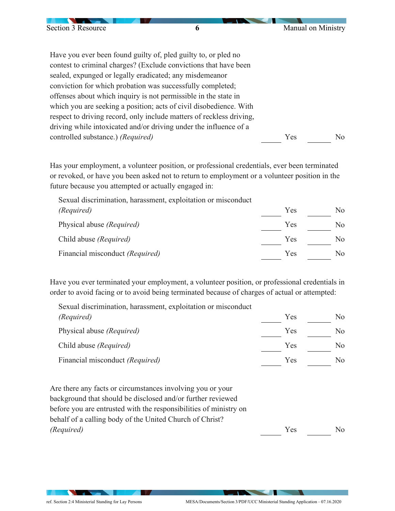| Section 3 Resource                | 6                                                                    | Manual on Ministry |     |
|-----------------------------------|----------------------------------------------------------------------|--------------------|-----|
|                                   |                                                                      |                    |     |
|                                   | Have you ever been found guilty of, pled guilty to, or pled no       |                    |     |
|                                   | contest to criminal charges? (Exclude convictions that have been     |                    |     |
|                                   | sealed, expunged or legally eradicated; any misdemeanor              |                    |     |
|                                   | conviction for which probation was successfully completed;           |                    |     |
|                                   | offenses about which inquiry is not permissible in the state in      |                    |     |
|                                   | which you are seeking a position; acts of civil disobedience. With   |                    |     |
|                                   | respect to driving record, only include matters of reckless driving, |                    |     |
|                                   | driving while intoxicated and/or driving under the influence of a    |                    |     |
| controlled substance.) (Required) |                                                                      | Yes                | No. |

Has your employment, a volunteer position, or professional credentials, ever been terminated or revoked, or have you been asked not to return to employment or a volunteer position in the future because you attempted or actually engaged in:

Sexual discrimination, harassment, exploitation or misconduct *(Required)* Physical abuse *(Required)* Yes Yes No No Child abuse *(Required)* Yes No Financial misconduct *(Required)* Yes No

Have you ever terminated your employment, a volunteer position, or professional credentials in order to avoid facing or to avoid being terminated because of charges of actual or attempted:

Sexual discrimination, harassment, exploitation or misconduct *(Required)* Physical abuse *(Required)* Yes Yes No  $\frac{N_0}{N_0}$ Child abuse *(Required)* Yes No Financial misconduct *(Required)* Yes No

Are there any facts or circumstances involving you or your background that should be disclosed and/or further reviewed before you are entrusted with the responsibilities of ministry on behalf of a calling body of the United Church of Christ? *(Required)* No  $\qquad \qquad$  Yes  $\qquad \qquad$  No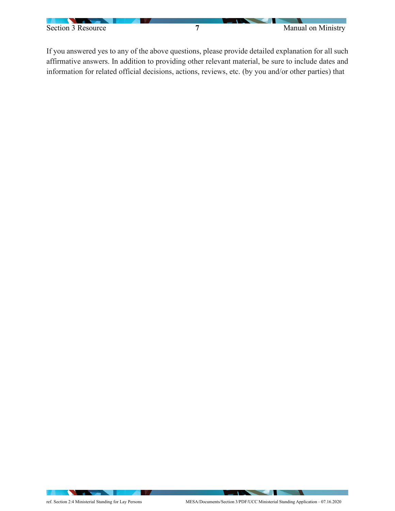

If you answered yes to any of the above questions, please provide detailed explanation for all such affirmative answers. In addition to providing other relevant material, be sure to include dates and information for related official decisions, actions, reviews, etc. (by you and/or other parties) that

**TAXABLE PROPERTY**